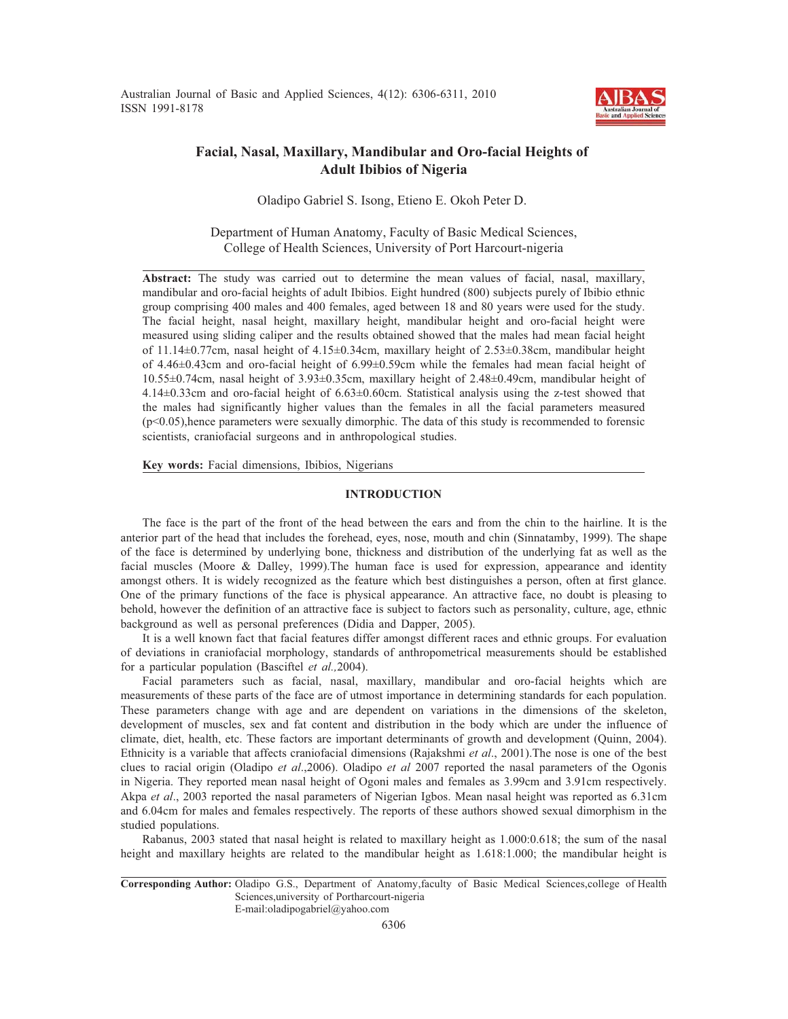Australian Journal of Basic and Applied Sciences, 4(12): 6306-6311, 2010 ISSN 1991-8178



## **Facial, Nasal, Maxillary, Mandibular and Oro-facial Heights of Adult Ibibios of Nigeria**

Oladipo Gabriel S. Isong, Etieno E. Okoh Peter D.

Department of Human Anatomy, Faculty of Basic Medical Sciences, College of Health Sciences, University of Port Harcourt-nigeria

**Abstract:** The study was carried out to determine the mean values of facial, nasal, maxillary, mandibular and oro-facial heights of adult Ibibios. Eight hundred (800) subjects purely of Ibibio ethnic group comprising 400 males and 400 females, aged between 18 and 80 years were used for the study. The facial height, nasal height, maxillary height, mandibular height and oro-facial height were measured using sliding caliper and the results obtained showed that the males had mean facial height of 11.14±0.77cm, nasal height of 4.15±0.34cm, maxillary height of 2.53±0.38cm, mandibular height of 4.46±0.43cm and oro-facial height of 6.99±0.59cm while the females had mean facial height of 10.55±0.74cm, nasal height of 3.93±0.35cm, maxillary height of 2.48±0.49cm, mandibular height of 4.14±0.33cm and oro-facial height of 6.63±0.60cm. Statistical analysis using the z-test showed that the males had significantly higher values than the females in all the facial parameters measured  $(p<0.05)$ , hence parameters were sexually dimorphic. The data of this study is recommended to forensic scientists, craniofacial surgeons and in anthropological studies.

**Key words:** Facial dimensions, Ibibios, Nigerians

## **INTRODUCTION**

The face is the part of the front of the head between the ears and from the chin to the hairline. It is the anterior part of the head that includes the forehead, eyes, nose, mouth and chin (Sinnatamby, 1999). The shape of the face is determined by underlying bone, thickness and distribution of the underlying fat as well as the facial muscles (Moore & Dalley, 1999).The human face is used for expression, appearance and identity amongst others. It is widely recognized as the feature which best distinguishes a person, often at first glance. One of the primary functions of the face is physical appearance. An attractive face, no doubt is pleasing to behold, however the definition of an attractive face is subject to factors such as personality, culture, age, ethnic background as well as personal preferences (Didia and Dapper, 2005).

It is a well known fact that facial features differ amongst different races and ethnic groups. For evaluation of deviations in craniofacial morphology, standards of anthropometrical measurements should be established for a particular population (Basciftel *et al.,*2004).

Facial parameters such as facial, nasal, maxillary, mandibular and oro-facial heights which are measurements of these parts of the face are of utmost importance in determining standards for each population. These parameters change with age and are dependent on variations in the dimensions of the skeleton, development of muscles, sex and fat content and distribution in the body which are under the influence of climate, diet, health, etc. These factors are important determinants of growth and development (Quinn, 2004). Ethnicity is a variable that affects craniofacial dimensions (Rajakshmi *et al*., 2001).The nose is one of the best clues to racial origin (Oladipo *et al*.,2006). Oladipo *et al* 2007 reported the nasal parameters of the Ogonis in Nigeria. They reported mean nasal height of Ogoni males and females as 3.99cm and 3.91cm respectively. Akpa *et al*., 2003 reported the nasal parameters of Nigerian Igbos. Mean nasal height was reported as 6.31cm and 6.04cm for males and females respectively. The reports of these authors showed sexual dimorphism in the studied populations.

Rabanus, 2003 stated that nasal height is related to maxillary height as 1.000:0.618; the sum of the nasal height and maxillary heights are related to the mandibular height as 1.618:1.000; the mandibular height is

E-mail:oladipogabriel@yahoo.com

**Corresponding Author:** Oladipo G.S., Department of Anatomy,faculty of Basic Medical Sciences,college of Health Sciences,university of Portharcourt-nigeria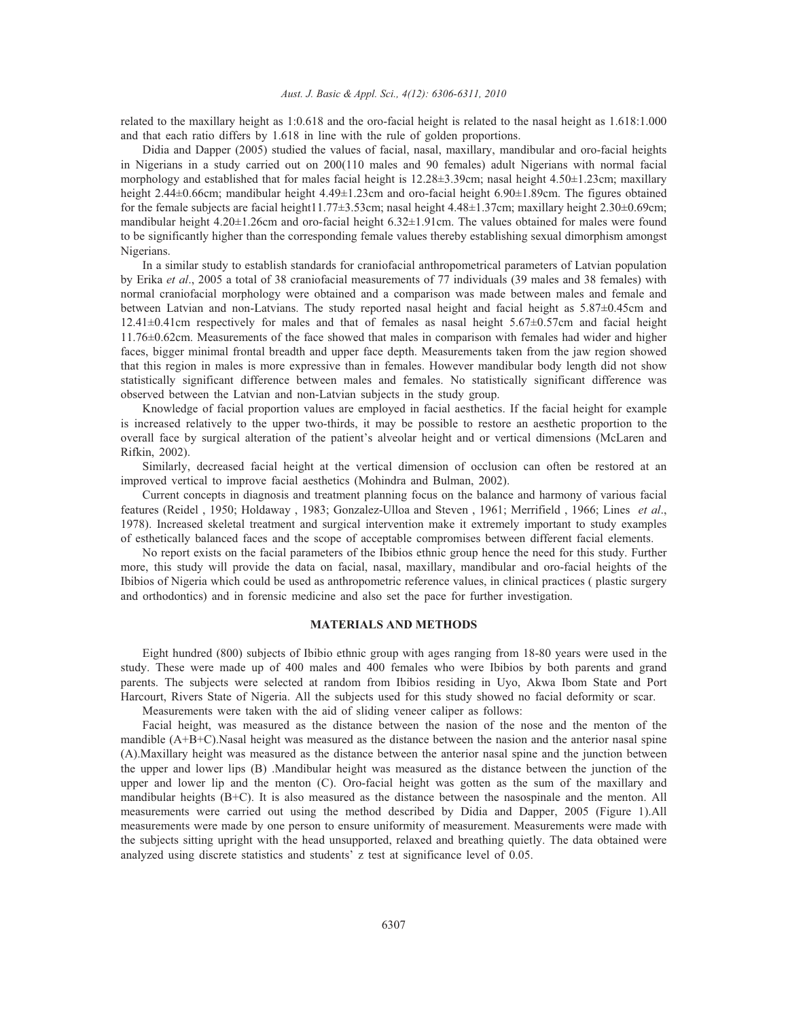#### *Aust. J. Basic & Appl. Sci., 4(12): 6306-6311, 2010*

related to the maxillary height as 1:0.618 and the oro-facial height is related to the nasal height as 1.618:1.000 and that each ratio differs by 1.618 in line with the rule of golden proportions.

Didia and Dapper (2005) studied the values of facial, nasal, maxillary, mandibular and oro-facial heights in Nigerians in a study carried out on 200(110 males and 90 females) adult Nigerians with normal facial morphology and established that for males facial height is 12.28±3.39cm; nasal height 4.50±1.23cm; maxillary height 2.44±0.66cm; mandibular height 4.49±1.23cm and oro-facial height 6.90±1.89cm. The figures obtained for the female subjects are facial height11.77±3.53cm; nasal height 4.48±1.37cm; maxillary height 2.30±0.69cm; mandibular height 4.20±1.26cm and oro-facial height 6.32±1.91cm. The values obtained for males were found to be significantly higher than the corresponding female values thereby establishing sexual dimorphism amongst Nigerians.

In a similar study to establish standards for craniofacial anthropometrical parameters of Latvian population by Erika *et al*., 2005 a total of 38 craniofacial measurements of 77 individuals (39 males and 38 females) with normal craniofacial morphology were obtained and a comparison was made between males and female and between Latvian and non-Latvians. The study reported nasal height and facial height as 5.87±0.45cm and 12.41±0.41cm respectively for males and that of females as nasal height 5.67±0.57cm and facial height 11.76±0.62cm. Measurements of the face showed that males in comparison with females had wider and higher faces, bigger minimal frontal breadth and upper face depth. Measurements taken from the jaw region showed that this region in males is more expressive than in females. However mandibular body length did not show statistically significant difference between males and females. No statistically significant difference was observed between the Latvian and non-Latvian subjects in the study group.

Knowledge of facial proportion values are employed in facial aesthetics. If the facial height for example is increased relatively to the upper two-thirds, it may be possible to restore an aesthetic proportion to the overall face by surgical alteration of the patient's alveolar height and or vertical dimensions (McLaren and Rifkin, 2002).

Similarly, decreased facial height at the vertical dimension of occlusion can often be restored at an improved vertical to improve facial aesthetics (Mohindra and Bulman, 2002).

Current concepts in diagnosis and treatment planning focus on the balance and harmony of various facial features (Reidel , 1950; Holdaway , 1983; Gonzalez-Ulloa and Steven , 1961; Merrifield , 1966; Lines *et al*., 1978). Increased skeletal treatment and surgical intervention make it extremely important to study examples of esthetically balanced faces and the scope of acceptable compromises between different facial elements.

No report exists on the facial parameters of the Ibibios ethnic group hence the need for this study. Further more, this study will provide the data on facial, nasal, maxillary, mandibular and oro-facial heights of the Ibibios of Nigeria which could be used as anthropometric reference values, in clinical practices ( plastic surgery and orthodontics) and in forensic medicine and also set the pace for further investigation.

### **MATERIALS AND METHODS**

Eight hundred (800) subjects of Ibibio ethnic group with ages ranging from 18-80 years were used in the study. These were made up of 400 males and 400 females who were Ibibios by both parents and grand parents. The subjects were selected at random from Ibibios residing in Uyo, Akwa Ibom State and Port Harcourt, Rivers State of Nigeria. All the subjects used for this study showed no facial deformity or scar.

Measurements were taken with the aid of sliding veneer caliper as follows:

Facial height, was measured as the distance between the nasion of the nose and the menton of the mandible (A+B+C).Nasal height was measured as the distance between the nasion and the anterior nasal spine (A).Maxillary height was measured as the distance between the anterior nasal spine and the junction between the upper and lower lips (B) .Mandibular height was measured as the distance between the junction of the upper and lower lip and the menton (C). Oro-facial height was gotten as the sum of the maxillary and mandibular heights (B+C). It is also measured as the distance between the nasospinale and the menton. All measurements were carried out using the method described by Didia and Dapper, 2005 (Figure 1).All measurements were made by one person to ensure uniformity of measurement. Measurements were made with the subjects sitting upright with the head unsupported, relaxed and breathing quietly. The data obtained were analyzed using discrete statistics and students' z test at significance level of 0.05.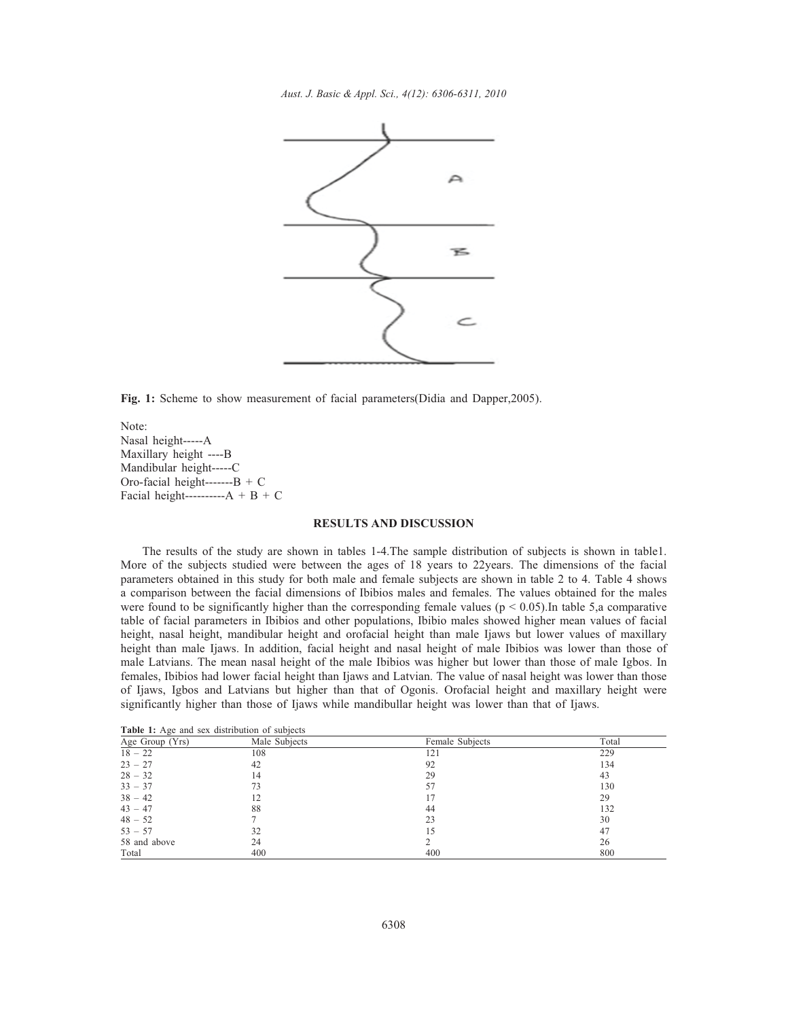*Aust. J. Basic & Appl. Sci., 4(12): 6306-6311, 2010*



**Fig. 1:** Scheme to show measurement of facial parameters(Didia and Dapper,2005).

Note: Nasal height-----A Maxillary height ----B Mandibular height-----C Oro-facial height------- $B + C$ Facial height---------- $A + B + C$ 

## **RESULTS AND DISCUSSION**

The results of the study are shown in tables 1-4.The sample distribution of subjects is shown in table1. More of the subjects studied were between the ages of 18 years to 22years. The dimensions of the facial parameters obtained in this study for both male and female subjects are shown in table 2 to 4. Table 4 shows a comparison between the facial dimensions of Ibibios males and females. The values obtained for the males were found to be significantly higher than the corresponding female values ( $p < 0.05$ ). In table 5,a comparative table of facial parameters in Ibibios and other populations, Ibibio males showed higher mean values of facial height, nasal height, mandibular height and orofacial height than male Ijaws but lower values of maxillary height than male Ijaws. In addition, facial height and nasal height of male Ibibios was lower than those of male Latvians. The mean nasal height of the male Ibibios was higher but lower than those of male Igbos. In females, Ibibios had lower facial height than Ijaws and Latvian. The value of nasal height was lower than those of Ijaws, Igbos and Latvians but higher than that of Ogonis. Orofacial height and maxillary height were significantly higher than those of Ijaws while mandibullar height was lower than that of Ijaws.

**Table 1:** Age and sex distribution of subjects

| Age Group (Yrs) | Male Subjects | Female Subjects | Total |
|-----------------|---------------|-----------------|-------|
| $18 - 22$       | 108           | 121             | 229   |
| $23 - 27$       | 42            | 92              | 134   |
| $28 - 32$       | 14            | 29              | 43    |
| $33 - 37$       | 73            | 57              | 130   |
| $38 - 42$       | 12            | 17              | 29    |
| $43 - 47$       | 88            | 44              | 132   |
| $48 - 52$       |               | 23              | 30    |
| $53 - 57$       | 32            | 15              | 47    |
| 58 and above    | 24            |                 | 26    |
| Total           | 400           | 400             | 800   |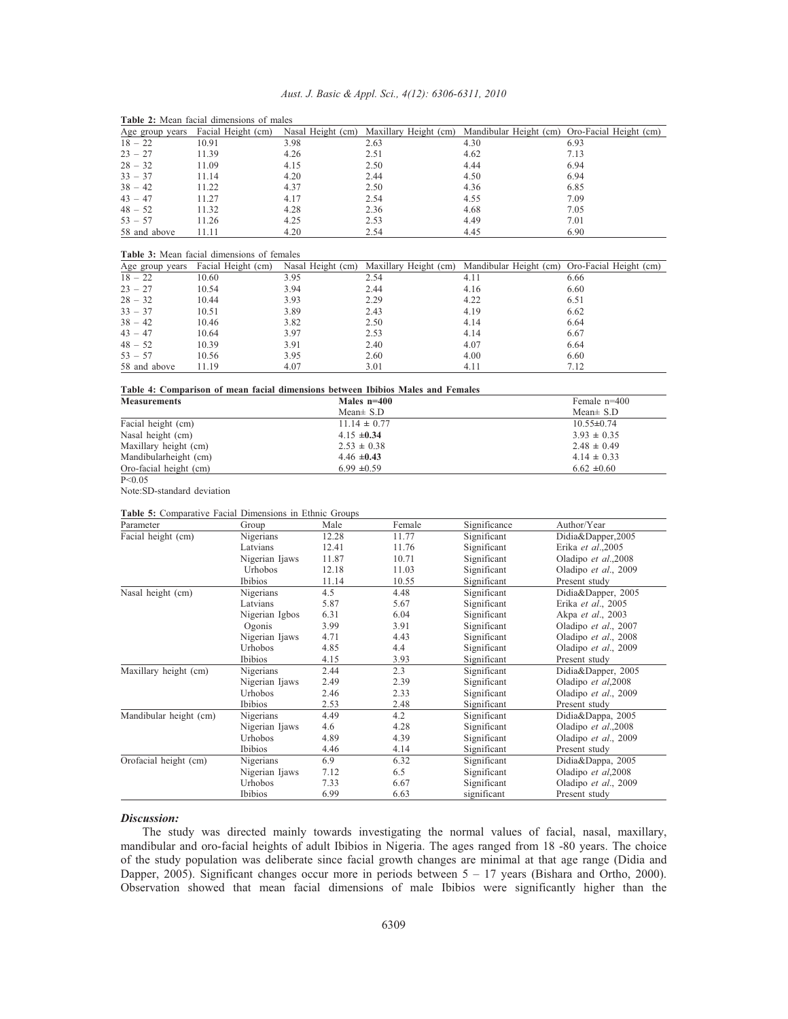| Aust. J. Basic & Appl. Sci., 4(12): 6306-6311, 2010 |  |  |  |  |  |  |
|-----------------------------------------------------|--|--|--|--|--|--|
|-----------------------------------------------------|--|--|--|--|--|--|

| Age group years                                   | Facial Height (cm) | Nasal Height (cm) | Maxillary Height (cm) | Mandibular Height (cm) | Oro-Facial Height (cm) |  |
|---------------------------------------------------|--------------------|-------------------|-----------------------|------------------------|------------------------|--|
| $18 - 22$                                         | 10.91              | 3.98              | 2.63                  | 4.30                   | 6.93                   |  |
| $23 - 27$                                         | 11.39              | 4.26              | 2.51                  | 4.62                   | 7.13                   |  |
| $28 - 32$                                         | 11.09              | 4.15              | 2.50                  | 4.44                   | 6.94                   |  |
| $33 - 37$                                         | 11.14              | 4.20              | 2.44                  | 4.50                   | 6.94                   |  |
| $38 - 42$                                         | 11.22              | 4.37              | 2.50                  | 4.36                   | 6.85                   |  |
| $43 - 47$                                         | 11.27              | 4.17              | 2.54                  | 4.55                   | 7.09                   |  |
| $48 - 52$                                         | 11.32              | 4.28              | 2.36                  | 4.68                   | 7.05                   |  |
| $53 - 57$                                         | 11.26              | 4.25              | 2.53                  | 4.49                   | 7.01                   |  |
| 58 and above                                      | 11.11              | 4.20              | 2.54                  | 4.45                   | 6.90                   |  |
|                                                   |                    |                   |                       |                        |                        |  |
| <b>Table 3:</b> Mean facial dimensions of females |                    |                   |                       |                        |                        |  |
| Age group years                                   | Facial Height (cm) | Nasal Height (cm) | Maxillary Height (cm) | Mandibular Height (cm) | Oro-Facial Height (cm) |  |
| $18 - 22$                                         | 10.60              | 3.95              | 2.54                  | 4.11                   | 6.66                   |  |
| $23 - 27$                                         | 10.54              | 3.94              | 2.44                  | 4.16                   | 6.60                   |  |
| $28 - 32$                                         | 10.44              | 3.93              | 2.29                  | 4.22                   | 6.51                   |  |
| $33 - 37$                                         | 10.51              | 3.89              | 2.43                  | 4.19                   | 6.62                   |  |
| $38 - 42$                                         | 10.46              | 3.82              | 2.50                  | 4.14                   | 6.64                   |  |

| <b>Table 2:</b> Mean facial dimensions of males |  |
|-------------------------------------------------|--|
|-------------------------------------------------|--|

# 58 and above 11.19 4.07 3.01 4.11 7.12

 $43 - 47$  10.64 3.97 2.53 4.14 6.67  $48 - 52$  10.39 3.91 2.40 4.07 6.64  $53 - 57$  10.56 3.95 2.60 4.00 6.60

| Table 4: Comparison of mean facial dimensions between Ibibios Males and Females |                  |                  |  |  |  |
|---------------------------------------------------------------------------------|------------------|------------------|--|--|--|
| <b>Measurements</b>                                                             | Males $n=400$    | Female $n=400$   |  |  |  |
|                                                                                 | Mean $\pm$ S.D   | Mean $\pm$ S.D   |  |  |  |
| Facial height (cm)                                                              | $11.14 \pm 0.77$ | $10.55 \pm 0.74$ |  |  |  |
| Nasal height (cm)                                                               | $4.15 \pm 0.34$  | $3.93 \pm 0.35$  |  |  |  |
| Maxillary height (cm)                                                           | $2.53 \pm 0.38$  | $2.48 \pm 0.49$  |  |  |  |
| Mandibularheight (cm)                                                           | $4.46 \pm 0.43$  | $4.14 \pm 0.33$  |  |  |  |
| Oro-facial height (cm)                                                          | $6.99 \pm 0.59$  | $6.62 \pm 0.60$  |  |  |  |
| P < 0.05                                                                        |                  |                  |  |  |  |

Note:SD-standard deviation

#### **Table 5:** Comparative Facial Dimensions in Ethnic Groups

| Parameter              | Group          | Male  | Female | Significance | Author/Year          |
|------------------------|----------------|-------|--------|--------------|----------------------|
| Facial height (cm)     | Nigerians      | 12.28 | 11.77  | Significant  | Didia&Dapper,2005    |
|                        | Latvians       | 12.41 | 11.76  | Significant  | Erika et al.,2005    |
|                        | Nigerian Ijaws | 11.87 | 10.71  | Significant  | Oladipo et al.,2008  |
|                        | Urhobos        | 12.18 | 11.03  | Significant  | Oladipo et al., 2009 |
|                        | Ibibios        | 11.14 | 10.55  | Significant  | Present study        |
| Nasal height (cm)      | Nigerians      | 4.5   | 4.48   | Significant  | Didia&Dapper, 2005   |
|                        | Latvians       | 5.87  | 5.67   | Significant  | Erika et al., 2005   |
|                        | Nigerian Igbos | 6.31  | 6.04   | Significant  | Akpa et al., 2003    |
|                        | Ogonis         | 3.99  | 3.91   | Significant  | Oladipo et al., 2007 |
|                        | Nigerian Ijaws | 4.71  | 4.43   | Significant  | Oladipo et al., 2008 |
|                        | Urhobos        | 4.85  | 4.4    | Significant  | Oladipo et al., 2009 |
|                        | Ibibios        | 4.15  | 3.93   | Significant  | Present study        |
| Maxillary height (cm)  | Nigerians      | 2.44  | 2.3    | Significant  | Didia&Dapper, 2005   |
|                        | Nigerian Ijaws | 2.49  | 2.39   | Significant  | Oladipo et al,2008   |
|                        | Urhobos        | 2.46  | 2.33   | Significant  | Oladipo et al., 2009 |
|                        | Ibibios        | 2.53  | 2.48   | Significant  | Present study        |
| Mandibular height (cm) | Nigerians      | 4.49  | 4.2    | Significant  | Didia&Dappa, 2005    |
|                        | Nigerian Ijaws | 4.6   | 4.28   | Significant  | Oladipo et al., 2008 |
|                        | Urhobos        | 4.89  | 4.39   | Significant  | Oladipo et al., 2009 |
|                        | Ibibios        | 4.46  | 4.14   | Significant  | Present study        |
| Orofacial height (cm)  | Nigerians      | 6.9   | 6.32   | Significant  | Didia&Dappa, 2005    |
|                        | Nigerian Ijaws | 7.12  | 6.5    | Significant  | Oladipo et al,2008   |
|                        | Urhobos        | 7.33  | 6.67   | Significant  | Oladipo et al., 2009 |
|                        | Ibibios        | 6.99  | 6.63   | significant  | Present study        |

#### *Discussion:*

The study was directed mainly towards investigating the normal values of facial, nasal, maxillary, mandibular and oro-facial heights of adult Ibibios in Nigeria. The ages ranged from 18 -80 years. The choice of the study population was deliberate since facial growth changes are minimal at that age range (Didia and Dapper, 2005). Significant changes occur more in periods between 5 – 17 years (Bishara and Ortho, 2000). Observation showed that mean facial dimensions of male Ibibios were significantly higher than the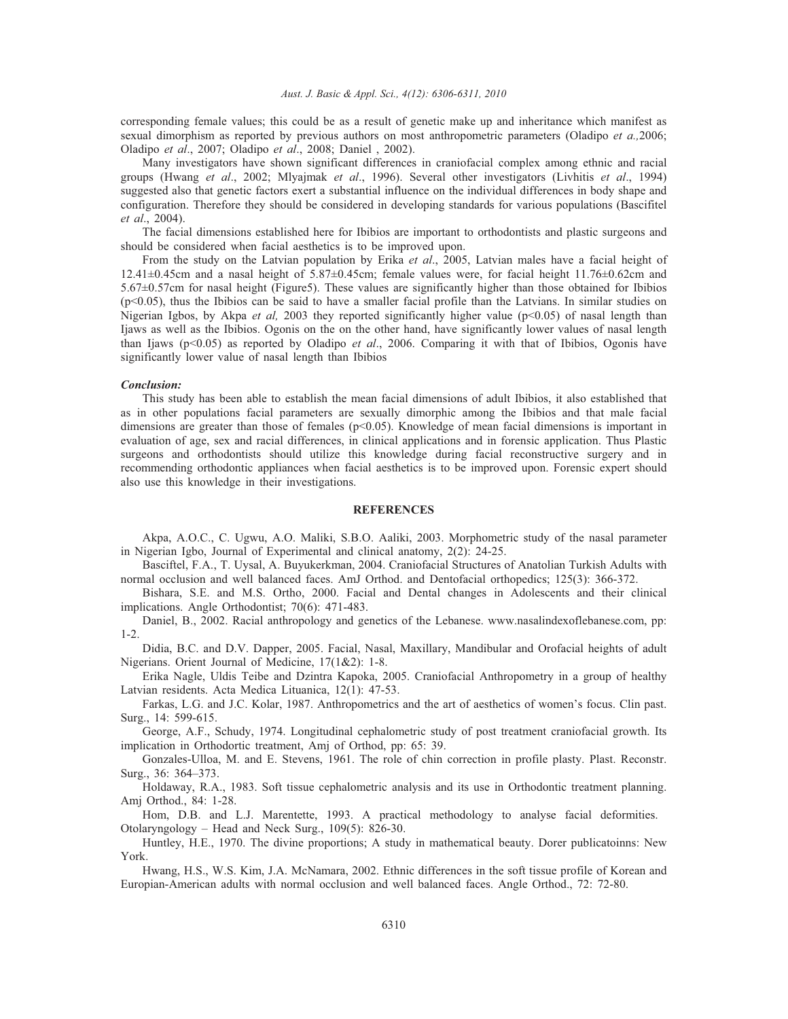#### *Aust. J. Basic & Appl. Sci., 4(12): 6306-6311, 2010*

corresponding female values; this could be as a result of genetic make up and inheritance which manifest as sexual dimorphism as reported by previous authors on most anthropometric parameters (Oladipo *et a.,*2006; Oladipo *et al*., 2007; Oladipo *et al*., 2008; Daniel , 2002).

Many investigators have shown significant differences in craniofacial complex among ethnic and racial groups (Hwang *et al*., 2002; Mlyajmak *et al*., 1996). Several other investigators (Livhitis *et al*., 1994) suggested also that genetic factors exert a substantial influence on the individual differences in body shape and configuration. Therefore they should be considered in developing standards for various populations (Bascifitel *et al*., 2004).

The facial dimensions established here for Ibibios are important to orthodontists and plastic surgeons and should be considered when facial aesthetics is to be improved upon.

From the study on the Latvian population by Erika *et al*., 2005, Latvian males have a facial height of 12.41±0.45cm and a nasal height of 5.87±0.45cm; female values were, for facial height 11.76±0.62cm and 5.67±0.57cm for nasal height (Figure5). These values are significantly higher than those obtained for Ibibios (p<0.05), thus the Ibibios can be said to have a smaller facial profile than the Latvians. In similar studies on Nigerian Igbos, by Akpa *et al*, 2003 they reported significantly higher value (p<0.05) of nasal length than Ijaws as well as the Ibibios. Ogonis on the on the other hand, have significantly lower values of nasal length than Ijaws (p<0.05) as reported by Oladipo *et al*., 2006. Comparing it with that of Ibibios, Ogonis have significantly lower value of nasal length than Ibibios

#### *Conclusion:*

This study has been able to establish the mean facial dimensions of adult Ibibios, it also established that as in other populations facial parameters are sexually dimorphic among the Ibibios and that male facial dimensions are greater than those of females (p<0.05). Knowledge of mean facial dimensions is important in evaluation of age, sex and racial differences, in clinical applications and in forensic application. Thus Plastic surgeons and orthodontists should utilize this knowledge during facial reconstructive surgery and in recommending orthodontic appliances when facial aesthetics is to be improved upon. Forensic expert should also use this knowledge in their investigations.

## **REFERENCES**

Akpa, A.O.C., C. Ugwu, A.O. Maliki, S.B.O. Aaliki, 2003. Morphometric study of the nasal parameter in Nigerian Igbo, Journal of Experimental and clinical anatomy, 2(2): 24-25.

Basciftel, F.A., T. Uysal, A. Buyukerkman, 2004. Craniofacial Structures of Anatolian Turkish Adults with normal occlusion and well balanced faces. AmJ Orthod. and Dentofacial orthopedics; 125(3): 366-372.

Bishara, S.E. and M.S. Ortho, 2000. Facial and Dental changes in Adolescents and their clinical implications. Angle Orthodontist; 70(6): 471-483.

Daniel, B., 2002. Racial anthropology and genetics of the Lebanese. www.nasalindexoflebanese.com, pp: 1-2.

Didia, B.C. and D.V. Dapper, 2005. Facial, Nasal, Maxillary, Mandibular and Orofacial heights of adult Nigerians. Orient Journal of Medicine, 17(1&2): 1-8.

Erika Nagle, Uldis Teibe and Dzintra Kapoka, 2005. Craniofacial Anthropometry in a group of healthy Latvian residents. Acta Medica Lituanica, 12(1): 47-53.

Farkas, L.G. and J.C. Kolar, 1987. Anthropometrics and the art of aesthetics of women's focus. Clin past. Surg., 14: 599-615.

George, A.F., Schudy, 1974. Longitudinal cephalometric study of post treatment craniofacial growth. Its implication in Orthodortic treatment, Amj of Orthod, pp: 65: 39.

Gonzales-Ulloa, M. and E. Stevens, 1961. The role of chin correction in profile plasty. Plast. Reconstr. Surg., 36: 364–373.

Holdaway, R.A., 1983. Soft tissue cephalometric analysis and its use in Orthodontic treatment planning. Amj Orthod., 84: 1-28.

Hom, D.B. and L.J. Marentette, 1993. A practical methodology to analyse facial deformities. Otolaryngology – Head and Neck Surg., 109(5): 826-30.

Huntley, H.E., 1970. The divine proportions; A study in mathematical beauty. Dorer publicatoinns: New York.

Hwang, H.S., W.S. Kim, J.A. McNamara, 2002. Ethnic differences in the soft tissue profile of Korean and Europian-American adults with normal occlusion and well balanced faces. Angle Orthod., 72: 72-80.